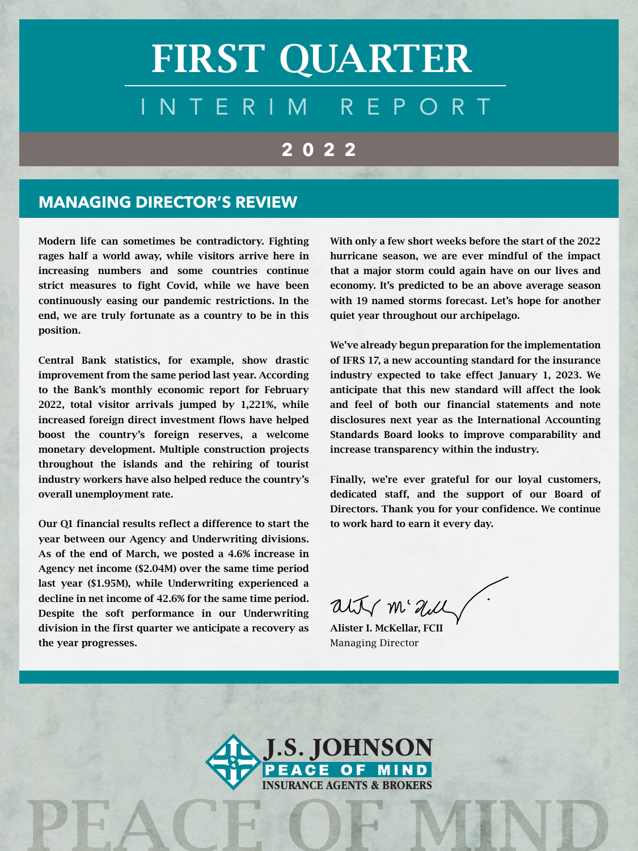# INTERIM REPORT FIRST QUARTER

# **2022**

#### **MANAGING DIRECTOR'S REVIEW**

Modern life can sometimes be contradictory. Fighting rages half a world away, while visitors arrive here in increasing numbers and some countries continue strict measures to fight Covid, while we have been continuously easing our pandemic restrictions. In the end, we are truly fortunate as a country to be in this position.

Central Bank statistics, for example, show drastic improvement from the same period last year. According to the Bank's monthly economic report for February 2022, total visitor arrivals jumped by 1,221%, while increased foreign direct investment flows have helped boost the country's foreign reserves, a welcome monetary development. Multiple construction projects throughout the islands and the rehiring of tourist industry workers have also helped reduce the country's overall unemployment rate.

Our Q1 financial results reflect a difference to start the year between our Agency and Underwriting divisions. As of the end of March, we posted a 4.6% increase in Agency net income (\$2.04M) over the same time period last year (\$1.95M), while Underwriting experienced a decline in net income of 42.6% for the same time period. Despite the soft performance in our Underwriting division in the first quarter we anticipate a recovery as the year progresses.

With only a few short weeks before the start of the 2022 hurricane season, we are ever mindful of the impact that a major storm could again have on our lives and economy. It's predicted to be an above average season with 19 named storms forecast. Let's hope for another quiet year throughout our archipelago.

We've already begun preparation for the implementation of IFRS 17, a new accounting standard for the insurance industry expected to take effect January 1, 2023. We anticipate that this new standard will affect the look and feel of both our financial statements and note disclosures next year as the International Accounting Standards Board looks to improve comparability and increase transparency within the industry.

Finally, we're ever grateful for our loyal customers, dedicated staff, and the support of our Board of Directors. Thank you for your confidence. We continue to work hard to earn it every day.

alty m'all

Alister I. McKellar, FCII Managing Director

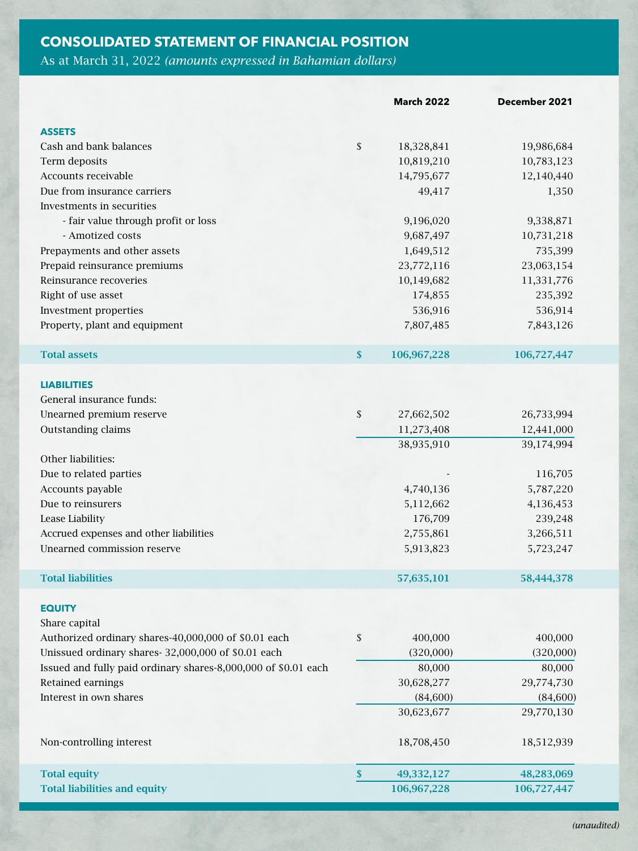#### **CONSOLIDATED STATEMENT OF FINANCIAL POSITION**

As at March 31, 2022 *(amounts expressed in Bahamian dollars)* 

|                                                                | <b>March 2022</b> | December 2021 |
|----------------------------------------------------------------|-------------------|---------------|
| <b>ASSETS</b>                                                  |                   |               |
| Cash and bank balances                                         | \$<br>18,328,841  | 19,986,684    |
| Term deposits                                                  | 10,819,210        | 10,783,123    |
| Accounts receivable                                            | 14,795,677        | 12,140,440    |
| Due from insurance carriers                                    | 49,417            | 1,350         |
| Investments in securities                                      |                   |               |
| - fair value through profit or loss                            | 9,196,020         | 9,338,871     |
| - Amotized costs                                               | 9,687,497         | 10,731,218    |
| Prepayments and other assets                                   | 1,649,512         | 735,399       |
| Prepaid reinsurance premiums                                   | 23,772,116        | 23,063,154    |
| Reinsurance recoveries                                         | 10,149,682        | 11,331,776    |
| Right of use asset                                             | 174,855           | 235,392       |
| Investment properties                                          | 536,916           | 536,914       |
| Property, plant and equipment                                  | 7,807,485         | 7,843,126     |
|                                                                |                   |               |
| <b>Total assets</b>                                            | \$<br>106,967,228 | 106,727,447   |
| <b>LIABILITIES</b>                                             |                   |               |
| General insurance funds:                                       |                   |               |
| Unearned premium reserve                                       | \$<br>27,662,502  | 26,733,994    |
| Outstanding claims                                             | 11,273,408        | 12,441,000    |
|                                                                | 38,935,910        | 39,174,994    |
| Other liabilities:                                             |                   |               |
| Due to related parties                                         |                   | 116,705       |
| Accounts payable                                               | 4,740,136         | 5,787,220     |
| Due to reinsurers                                              | 5,112,662         | 4,136,453     |
| Lease Liability                                                | 176,709           | 239,248       |
| Accrued expenses and other liabilities                         | 2,755,861         | 3,266,511     |
| Unearned commission reserve                                    | 5,913,823         | 5,723,247     |
| <b>Total liabilities</b>                                       | 57,635,101        |               |
|                                                                |                   | 58,444,378    |
| <b>EQUITY</b>                                                  |                   |               |
| Share capital                                                  |                   |               |
| Authorized ordinary shares-40,000,000 of \$0.01 each           | \$<br>400,000     | 400,000       |
| Unissued ordinary shares-32,000,000 of \$0.01 each             | (320,000)         | (320,000)     |
| Issued and fully paid ordinary shares-8,000,000 of \$0.01 each | 80,000            | 80,000        |
| Retained earnings                                              | 30,628,277        | 29,774,730    |
| Interest in own shares                                         | (84, 600)         | (84,600)      |
|                                                                | 30,623,677        | 29,770,130    |
| Non-controlling interest                                       | 18,708,450        | 18,512,939    |
|                                                                |                   |               |
| <b>Total equity</b>                                            | \$<br>49,332,127  | 48,283,069    |
| <b>Total liabilities and equity</b>                            | 106,967,228       | 106,727,447   |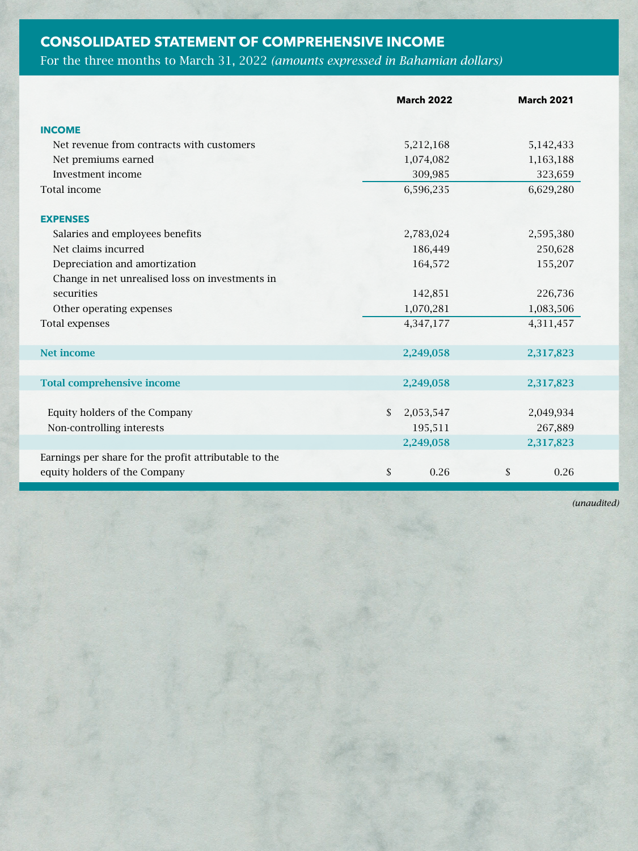## **CONSOLIDATED STATEMENT OF COMPREHENSIVE INCOME**

## For the three months to March 31, 2022 *(amounts expressed in Bahamian dollars)*

|                                                       |              | <b>March 2022</b> | <b>March 2021</b> |  |
|-------------------------------------------------------|--------------|-------------------|-------------------|--|
| <b>INCOME</b>                                         |              |                   |                   |  |
| Net revenue from contracts with customers             |              | 5,212,168         | 5,142,433         |  |
| Net premiums earned                                   |              | 1,074,082         | 1,163,188         |  |
| Investment income                                     |              | 309,985           | 323,659           |  |
| Total income                                          |              | 6,596,235         | 6,629,280         |  |
| <b>EXPENSES</b>                                       |              |                   |                   |  |
| Salaries and employees benefits                       |              | 2,783,024         | 2,595,380         |  |
| Net claims incurred                                   |              | 186,449           | 250,628           |  |
| Depreciation and amortization                         |              | 164,572           | 155,207           |  |
| Change in net unrealised loss on investments in       |              |                   |                   |  |
| securities                                            |              | 142,851           | 226,736           |  |
| Other operating expenses                              |              | 1,070,281         | 1,083,506         |  |
| <b>Total expenses</b>                                 |              | 4,347,177         | 4,311,457         |  |
| <b>Net income</b>                                     |              | 2,249,058         | 2,317,823         |  |
| <b>Total comprehensive income</b>                     |              | 2,249,058         | 2,317,823         |  |
|                                                       |              |                   |                   |  |
| Equity holders of the Company                         | \$           | 2,053,547         | 2,049,934         |  |
| Non-controlling interests                             |              | 195,511           | 267,889           |  |
|                                                       |              | 2,249,058         | 2,317,823         |  |
| Earnings per share for the profit attributable to the |              |                   |                   |  |
| equity holders of the Company                         | $\mathbb{S}$ | 0.26              | \$<br>0.26        |  |

*(unaudited)*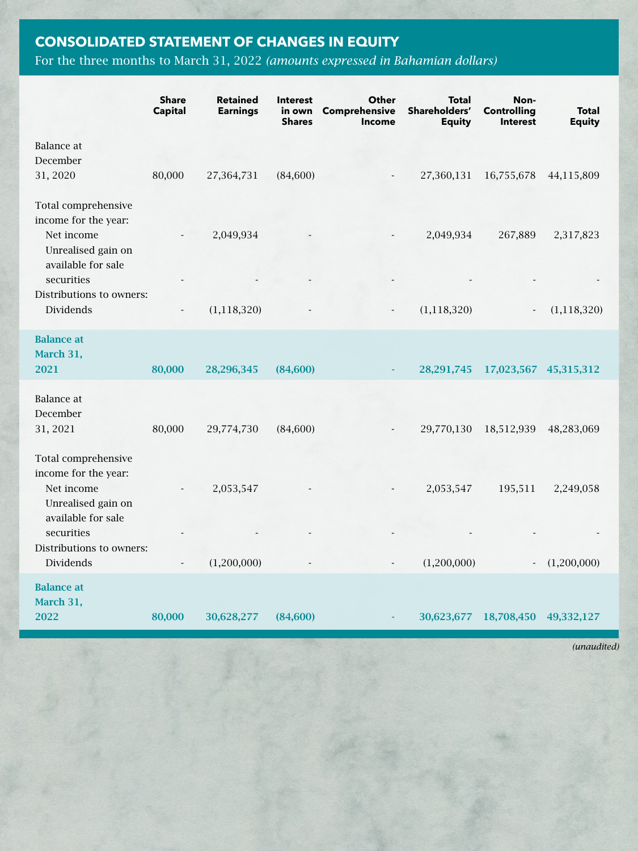## **CONSOLIDATED STATEMENT OF CHANGES IN EQUITY**

## For the three months to March 31, 2022 *(amounts expressed in Bahamian dollars)*

|                                                                                                       | <b>Share</b><br><b>Capital</b> | <b>Retained</b><br><b>Earnings</b> | <b>Interest</b><br>in own<br><b>Shares</b> | Other<br>Comprehensive<br><b>Income</b> | <b>Total</b><br>Shareholders'<br><b>Equity</b> | Non-<br><b>Controlling</b><br><b>Interest</b> | <b>Total</b><br><b>Equity</b> |
|-------------------------------------------------------------------------------------------------------|--------------------------------|------------------------------------|--------------------------------------------|-----------------------------------------|------------------------------------------------|-----------------------------------------------|-------------------------------|
| Balance at<br>December<br>31, 2020                                                                    | 80,000                         | 27,364,731                         | (84,600)                                   |                                         | 27,360,131                                     | 16,755,678                                    | 44,115,809                    |
| Total comprehensive<br>income for the year:<br>Net income<br>Unrealised gain on                       |                                | 2,049,934                          |                                            |                                         | 2,049,934                                      | 267,889                                       | 2,317,823                     |
| available for sale<br>securities<br>Distributions to owners:<br><b>Dividends</b>                      |                                | (1, 118, 320)                      |                                            |                                         | (1, 118, 320)                                  |                                               | (1, 118, 320)                 |
| <b>Balance</b> at<br>March 31,<br>2021                                                                | 80,000                         | 28,296,345                         | (84,600)                                   |                                         | 28, 291, 745                                   | 17,023,567                                    | 45,315,312                    |
| <b>Balance</b> at<br>December<br>31, 2021                                                             | 80,000                         | 29,774,730                         | (84, 600)                                  |                                         | 29,770,130                                     | 18,512,939                                    | 48,283,069                    |
| Total comprehensive<br>income for the year:<br>Net income<br>Unrealised gain on<br>available for sale |                                | 2,053,547                          |                                            |                                         | 2,053,547                                      | 195,511                                       | 2,249,058                     |
| securities<br>Distributions to owners:<br>Dividends                                                   |                                | (1,200,000)                        |                                            |                                         | (1,200,000)                                    | $\overline{\phantom{a}}$                      | (1,200,000)                   |
| <b>Balance</b> at<br>March 31,<br>2022                                                                | 80,000                         | 30,628,277                         | (84,600)                                   |                                         | 30,623,677                                     | 18,708,450                                    | 49,332,127                    |

*(unaudited)*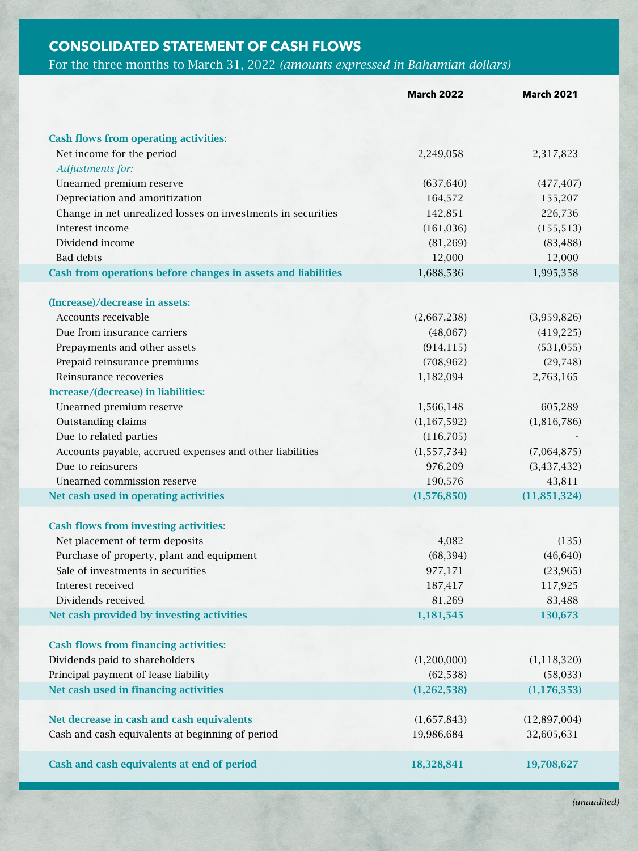#### **CONSOLIDATED STATEMENT OF CASH FLOWS**

#### For the three months to March 31, 2022 *(amounts expressed in Bahamian dollars)*

|                                                               | <b>March 2022</b> | <b>March 2021</b> |
|---------------------------------------------------------------|-------------------|-------------------|
|                                                               |                   |                   |
| <b>Cash flows from operating activities:</b>                  |                   |                   |
| Net income for the period                                     | 2,249,058         | 2,317,823         |
| <b>Adjustments for:</b>                                       |                   |                   |
| Unearned premium reserve                                      | (637, 640)        | (477, 407)        |
| Depreciation and amoritization                                | 164,572           | 155,207           |
| Change in net unrealized losses on investments in securities  | 142,851           | 226,736           |
| Interest income                                               | (161, 036)        | (155, 513)        |
| Dividend income                                               | (81,269)          | (83, 488)         |
| <b>Bad debts</b>                                              | 12,000            | 12,000            |
| Cash from operations before changes in assets and liabilities | 1,688,536         | 1,995,358         |
| (Increase)/decrease in assets:                                |                   |                   |
| Accounts receivable                                           | (2,667,238)       | (3,959,826)       |
| Due from insurance carriers                                   | (48,067)          | (419, 225)        |
| Prepayments and other assets                                  | (914, 115)        | (531, 055)        |
| Prepaid reinsurance premiums                                  | (708, 962)        | (29, 748)         |
| Reinsurance recoveries                                        | 1,182,094         | 2,763,165         |
| Increase/(decrease) in liabilities:                           |                   |                   |
| Unearned premium reserve                                      | 1,566,148         | 605,289           |
| Outstanding claims                                            | (1,167,592)       | (1,816,786)       |
| Due to related parties                                        | (116,705)         |                   |
| Accounts payable, accrued expenses and other liabilities      | (1,557,734)       | (7,064,875)       |
| Due to reinsurers                                             | 976,209           | (3, 437, 432)     |
| Unearned commission reserve                                   | 190,576           | 43,811            |
| Net cash used in operating activities                         | (1,576,850)       | (11,851,324)      |
| <b>Cash flows from investing activities:</b>                  |                   |                   |
| Net placement of term deposits                                | 4,082             | (135)             |
| Purchase of property, plant and equipment                     | (68, 394)         | (46, 640)         |
| Sale of investments in securities                             | 977,171           | (23, 965)         |
| Interest received                                             | 187,417           | 117,925           |
| Dividends received                                            | 81,269            | 83,488            |
| Net cash provided by investing activities                     | 1,181,545         | 130,673           |
| <b>Cash flows from financing activities:</b>                  |                   |                   |
| Dividends paid to shareholders                                | (1,200,000)       | (1, 118, 320)     |
| Principal payment of lease liability                          | (62, 538)         | (58,033)          |
| Net cash used in financing activities                         | (1,262,538)       | (1, 176, 353)     |
|                                                               |                   |                   |
| Net decrease in cash and cash equivalents                     | (1,657,843)       | (12,897,004)      |
| Cash and cash equivalents at beginning of period              | 19,986,684        | 32,605,631        |
|                                                               |                   |                   |
| Cash and cash equivalents at end of period                    | 18,328,841        | 19,708,627        |